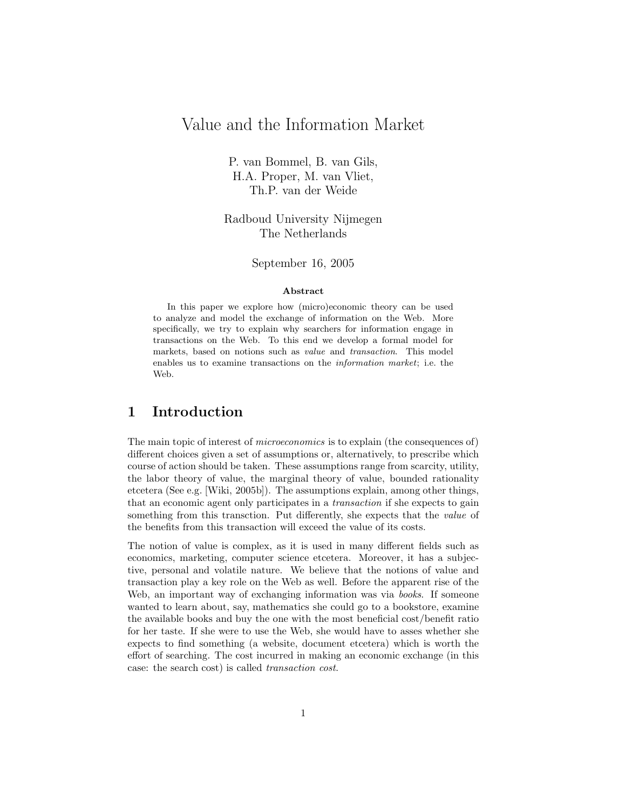# Value and the Information Market

P. van Bommel, B. van Gils, H.A. Proper, M. van Vliet, Th.P. van der Weide

Radboud University Nijmegen The Netherlands

#### September 16, 2005

#### Abstract

In this paper we explore how (micro)economic theory can be used to analyze and model the exchange of information on the Web. More specifically, we try to explain why searchers for information engage in transactions on the Web. To this end we develop a formal model for markets, based on notions such as value and transaction. This model enables us to examine transactions on the information market; i.e. the Web.

# 1 Introduction

The main topic of interest of microeconomics is to explain (the consequences of) different choices given a set of assumptions or, alternatively, to prescribe which course of action should be taken. These assumptions range from scarcity, utility, the labor theory of value, the marginal theory of value, bounded rationality etcetera (See e.g. [Wiki, 2005b]). The assumptions explain, among other things, that an economic agent only participates in a transaction if she expects to gain something from this transction. Put differently, she expects that the *value* of the benefits from this transaction will exceed the value of its costs.

The notion of value is complex, as it is used in many different fields such as economics, marketing, computer science etcetera. Moreover, it has a subjective, personal and volatile nature. We believe that the notions of value and transaction play a key role on the Web as well. Before the apparent rise of the Web, an important way of exchanging information was via *books*. If someone wanted to learn about, say, mathematics she could go to a bookstore, examine the available books and buy the one with the most beneficial cost/benefit ratio for her taste. If she were to use the Web, she would have to asses whether she expects to find something (a website, document etcetera) which is worth the effort of searching. The cost incurred in making an economic exchange (in this case: the search cost) is called transaction cost.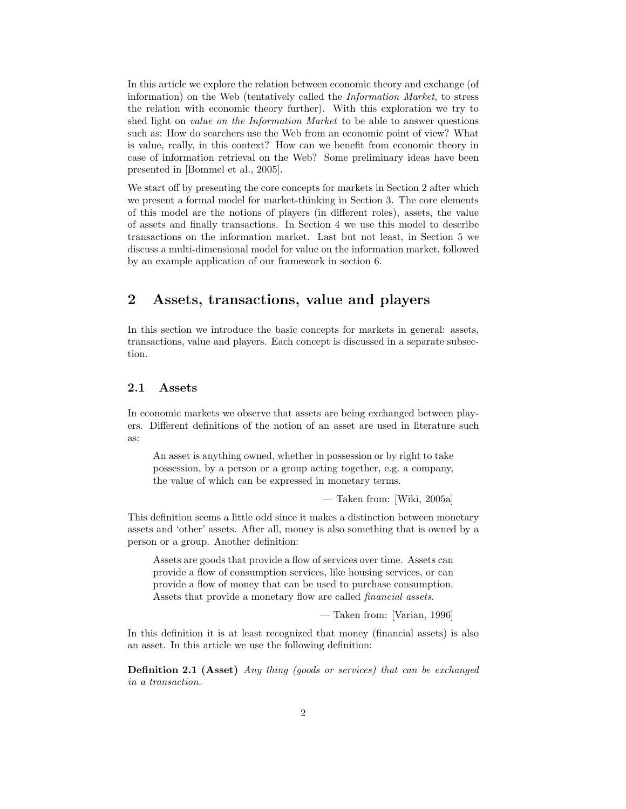In this article we explore the relation between economic theory and exchange (of information) on the Web (tentatively called the Information Market, to stress the relation with economic theory further). With this exploration we try to shed light on *value on the Information Market* to be able to answer questions such as: How do searchers use the Web from an economic point of view? What is value, really, in this context? How can we benefit from economic theory in case of information retrieval on the Web? Some preliminary ideas have been presented in [Bommel et al., 2005].

We start off by presenting the core concepts for markets in Section 2 after which we present a formal model for market-thinking in Section 3. The core elements of this model are the notions of players (in different roles), assets, the value of assets and finally transactions. In Section 4 we use this model to describe transactions on the information market. Last but not least, in Section 5 we discuss a multi-dimensional model for value on the information market, followed by an example application of our framework in section 6.

# 2 Assets, transactions, value and players

In this section we introduce the basic concepts for markets in general: assets, transactions, value and players. Each concept is discussed in a separate subsection.

# 2.1 Assets

In economic markets we observe that assets are being exchanged between players. Different definitions of the notion of an asset are used in literature such as:

An asset is anything owned, whether in possession or by right to take possession, by a person or a group acting together, e.g. a company, the value of which can be expressed in monetary terms.

— Taken from: [Wiki, 2005a]

This definition seems a little odd since it makes a distinction between monetary assets and 'other' assets. After all, money is also something that is owned by a person or a group. Another definition:

Assets are goods that provide a flow of services over time. Assets can provide a flow of consumption services, like housing services, or can provide a flow of money that can be used to purchase consumption. Assets that provide a monetary flow are called financial assets.

— Taken from: [Varian, 1996]

In this definition it is at least recognized that money (financial assets) is also an asset. In this article we use the following definition:

Definition 2.1 (Asset) Any thing (goods or services) that can be exchanged in a transaction.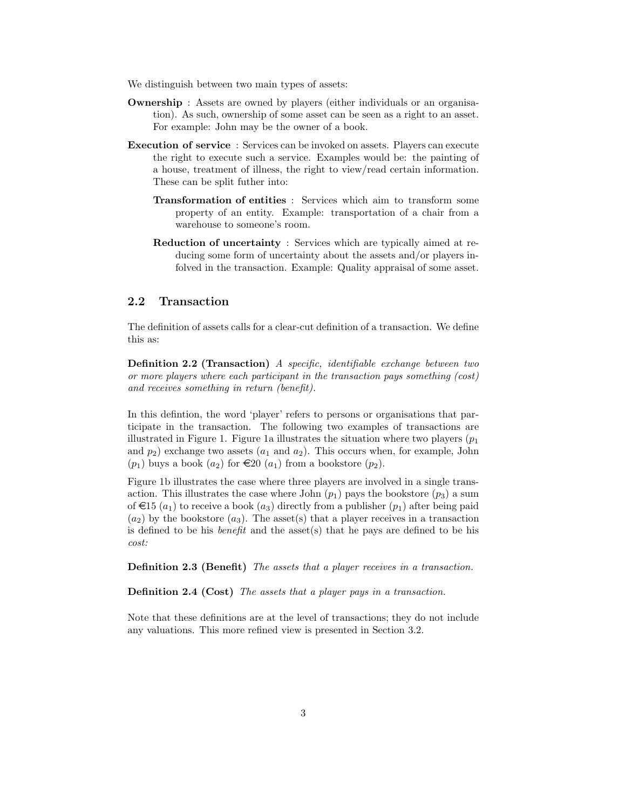We distinguish between two main types of assets:

- Ownership : Assets are owned by players (either individuals or an organisation). As such, ownership of some asset can be seen as a right to an asset. For example: John may be the owner of a book.
- Execution of service : Services can be invoked on assets. Players can execute the right to execute such a service. Examples would be: the painting of a house, treatment of illness, the right to view/read certain information. These can be split futher into:
	- Transformation of entities : Services which aim to transform some property of an entity. Example: transportation of a chair from a warehouse to someone's room.
	- Reduction of uncertainty : Services which are typically aimed at reducing some form of uncertainty about the assets and/or players infolved in the transaction. Example: Quality appraisal of some asset.

### 2.2 Transaction

The definition of assets calls for a clear-cut definition of a transaction. We define this as:

Definition 2.2 (Transaction) A specific, identifiable exchange between two or more players where each participant in the transaction pays something (cost) and receives something in return (benefit).

In this defintion, the word 'player' refers to persons or organisations that participate in the transaction. The following two examples of transactions are illustrated in Figure 1. Figure 1a illustrates the situation where two players  $(p_1)$ and  $p_2$ ) exchange two assets  $(a_1 \text{ and } a_2)$ . This occurs when, for example, John  $(p_1)$  buys a book  $(a_2)$  for  $\in \mathfrak{L}(\mathfrak{a}_1)$  from a bookstore  $(p_2)$ .

Figure 1b illustrates the case where three players are involved in a single transaction. This illustrates the case where John  $(p_1)$  pays the bookstore  $(p_3)$  a sum of  $\in$ 15 (a<sub>1</sub>) to receive a book (a<sub>3</sub>) directly from a publisher (p<sub>1</sub>) after being paid  $(a_2)$  by the bookstore  $(a_3)$ . The asset(s) that a player receives in a transaction is defined to be his *benefit* and the asset(s) that he pays are defined to be his cost:

Definition 2.3 (Benefit) The assets that a player receives in a transaction.

Definition 2.4 (Cost) The assets that a player pays in a transaction.

Note that these definitions are at the level of transactions; they do not include any valuations. This more refined view is presented in Section 3.2.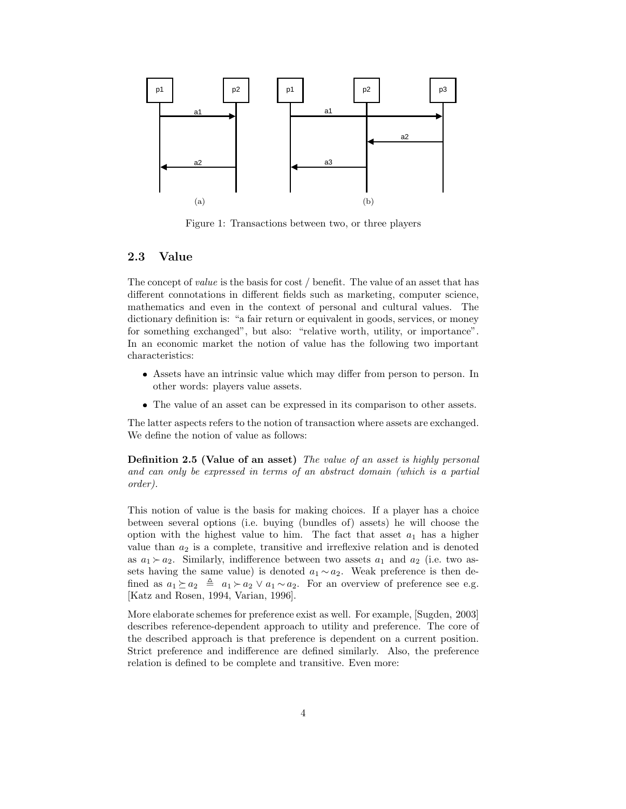

Figure 1: Transactions between two, or three players

### 2.3 Value

The concept of *value* is the basis for cost / benefit. The value of an asset that has different connotations in different fields such as marketing, computer science, mathematics and even in the context of personal and cultural values. The dictionary definition is: "a fair return or equivalent in goods, services, or money for something exchanged", but also: "relative worth, utility, or importance". In an economic market the notion of value has the following two important characteristics:

- Assets have an intrinsic value which may differ from person to person. In other words: players value assets.
- The value of an asset can be expressed in its comparison to other assets.

The latter aspects refers to the notion of transaction where assets are exchanged. We define the notion of value as follows:

Definition 2.5 (Value of an asset) The value of an asset is highly personal and can only be expressed in terms of an abstract domain (which is a partial order).

This notion of value is the basis for making choices. If a player has a choice between several options (i.e. buying (bundles of) assets) he will choose the option with the highest value to him. The fact that asset  $a_1$  has a higher value than  $a_2$  is a complete, transitive and irreflexive relation and is denoted as  $a_1 \succ a_2$ . Similarly, indifference between two assets  $a_1$  and  $a_2$  (i.e. two assets having the same value) is denoted  $a_1 \sim a_2$ . Weak preference is then defined as  $a_1 \succeq a_2 \triangleq a_1 \succ a_2 \vee a_1 \sim a_2$ . For an overview of preference see e.g. [Katz and Rosen, 1994, Varian, 1996].

More elaborate schemes for preference exist as well. For example, [Sugden, 2003] describes reference-dependent approach to utility and preference. The core of the described approach is that preference is dependent on a current position. Strict preference and indifference are defined similarly. Also, the preference relation is defined to be complete and transitive. Even more: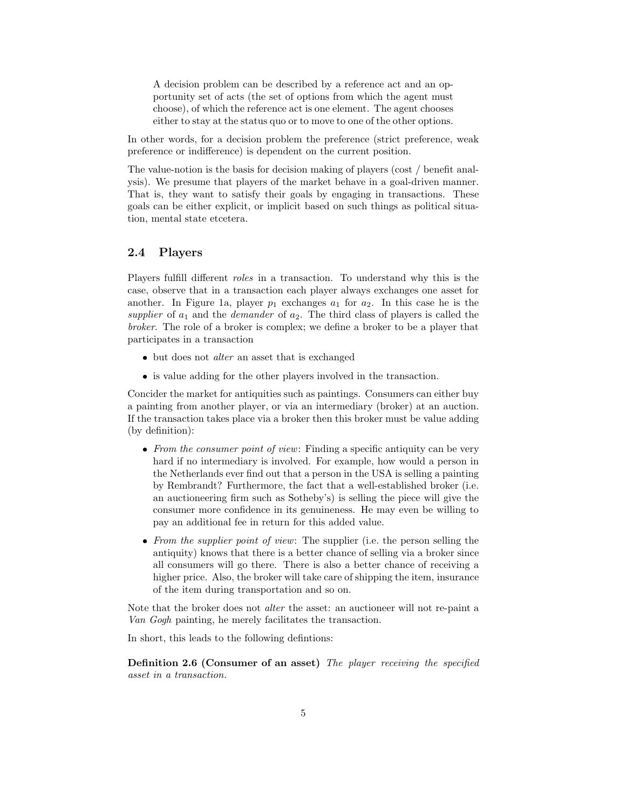A decision problem can be described by a reference act and an opportunity set of acts (the set of options from which the agent must choose), of which the reference act is one element. The agent chooses either to stay at the status quo or to move to one of the other options.

In other words, for a decision problem the preference (strict preference, weak preference or indifference) is dependent on the current position.

The value-notion is the basis for decision making of players (cost / benefit analysis). We presume that players of the market behave in a goal-driven manner. That is, they want to satisfy their goals by engaging in transactions. These goals can be either explicit, or implicit based on such things as political situation, mental state etcetera.

## 2.4 Players

Players fulfill different roles in a transaction. To understand why this is the case, observe that in a transaction each player always exchanges one asset for another. In Figure 1a, player  $p_1$  exchanges  $a_1$  for  $a_2$ . In this case he is the supplier of  $a_1$  and the *demander* of  $a_2$ . The third class of players is called the broker. The role of a broker is complex; we define a broker to be a player that participates in a transaction

- but does not *alter* an asset that is exchanged
- is value adding for the other players involved in the transaction.

Concider the market for antiquities such as paintings. Consumers can either buy a painting from another player, or via an intermediary (broker) at an auction. If the transaction takes place via a broker then this broker must be value adding (by definition):

- From the consumer point of view: Finding a specific antiquity can be very hard if no intermediary is involved. For example, how would a person in the Netherlands ever find out that a person in the USA is selling a painting by Rembrandt? Furthermore, the fact that a well-established broker (i.e. an auctioneering firm such as Sotheby's) is selling the piece will give the consumer more confidence in its genuineness. He may even be willing to pay an additional fee in return for this added value.
- From the supplier point of view: The supplier (i.e. the person selling the antiquity) knows that there is a better chance of selling via a broker since all consumers will go there. There is also a better chance of receiving a higher price. Also, the broker will take care of shipping the item, insurance of the item during transportation and so on.

Note that the broker does not *alter* the asset: an auctioneer will not re-paint a Van Gogh painting, he merely facilitates the transaction.

In short, this leads to the following defintions:

Definition 2.6 (Consumer of an asset) The player receiving the specified asset in a transaction.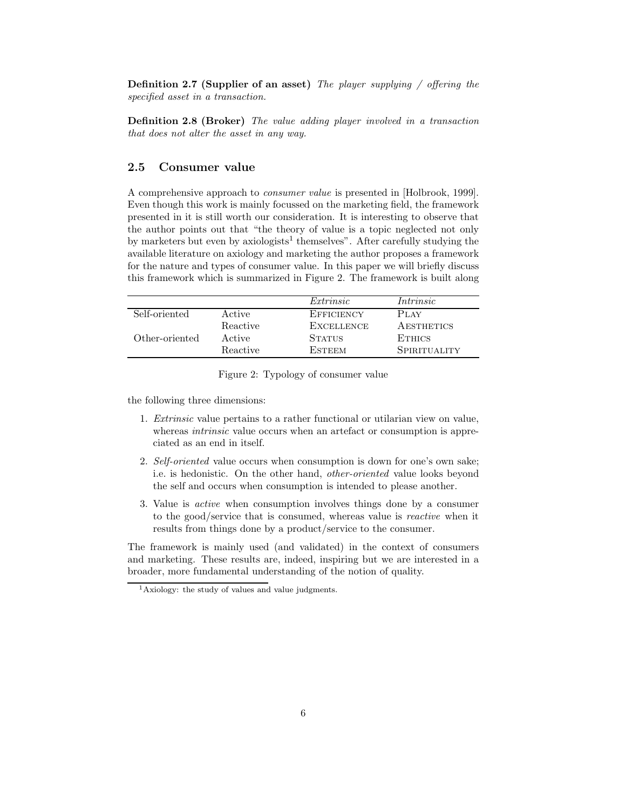**Definition 2.7 (Supplier of an asset)** The player supplying  $/$  offering the specified asset in a transaction.

Definition 2.8 (Broker) The value adding player involved in a transaction that does not alter the asset in any way.

### 2.5 Consumer value

A comprehensive approach to consumer value is presented in [Holbrook, 1999]. Even though this work is mainly focussed on the marketing field, the framework presented in it is still worth our consideration. It is interesting to observe that the author points out that "the theory of value is a topic neglected not only by marketers but even by axiologists<sup>1</sup> themselves". After carefully studying the available literature on axiology and marketing the author proposes a framework for the nature and types of consumer value. In this paper we will briefly discuss this framework which is summarized in Figure 2. The framework is built along

|                |          | Extrinsic         | Intrinsic         |
|----------------|----------|-------------------|-------------------|
| Self-oriented  | Active   | EFFICIENCY        | P <sub>LAY</sub>  |
|                | Reactive | <b>EXCELLENCE</b> | <b>AESTHETICS</b> |
| Other-oriented | Active   | <b>STATUS</b>     | <b>ETHICS</b>     |
|                | Reactive | <b>ESTEEM</b>     | SPIRITUALITY      |

Figure 2: Typology of consumer value

the following three dimensions:

- 1. Extrinsic value pertains to a rather functional or utilarian view on value, whereas *intrinsic* value occurs when an artefact or consumption is appreciated as an end in itself.
- 2. Self-oriented value occurs when consumption is down for one's own sake; i.e. is hedonistic. On the other hand, other-oriented value looks beyond the self and occurs when consumption is intended to please another.
- 3. Value is active when consumption involves things done by a consumer to the good/service that is consumed, whereas value is reactive when it results from things done by a product/service to the consumer.

The framework is mainly used (and validated) in the context of consumers and marketing. These results are, indeed, inspiring but we are interested in a broader, more fundamental understanding of the notion of quality.

<sup>&</sup>lt;sup>1</sup>Axiology: the study of values and value judgments.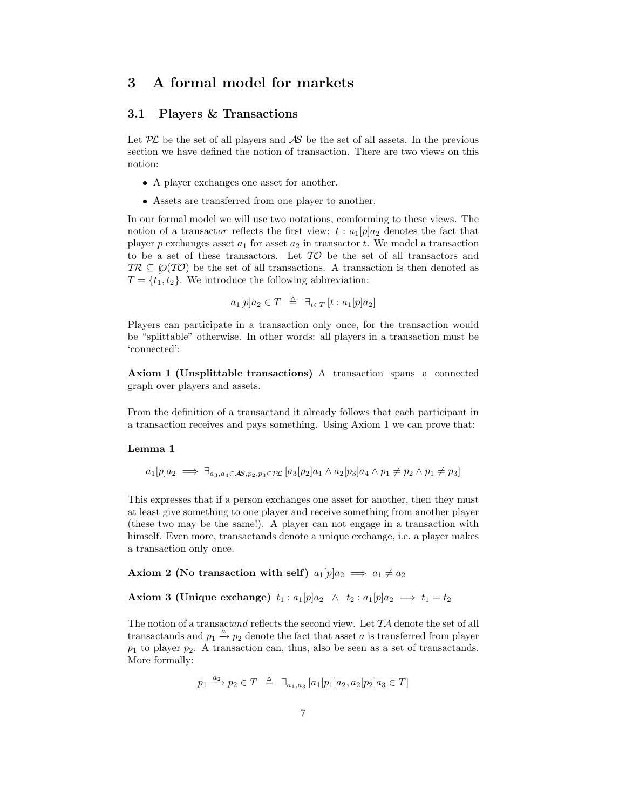# 3 A formal model for markets

## 3.1 Players & Transactions

Let  $PL$  be the set of all players and  $AS$  be the set of all assets. In the previous section we have defined the notion of transaction. There are two views on this notion:

- A player exchanges one asset for another.
- Assets are transferred from one player to another.

In our formal model we will use two notations, comforming to these views. The notion of a transactor reflects the first view:  $t : a_1[p]a_2$  denotes the fact that player p exchanges asset  $a_1$  for asset  $a_2$  in transactor t. We model a transaction to be a set of these transactors. Let  $T\mathcal{O}$  be the set of all transactors and  $TR \subseteq \mathcal{O}(T\mathcal{O})$  be the set of all transactions. A transaction is then denoted as  $T = \{t_1, t_2\}$ . We introduce the following abbreviation:

 $a_1[p]a_2 \in T \triangleq \exists_{t \in T} [t : a_1[p]a_2]$ 

Players can participate in a transaction only once, for the transaction would be "splittable" otherwise. In other words: all players in a transaction must be 'connected':

Axiom 1 (Unsplittable transactions) A transaction spans a connected graph over players and assets.

From the definition of a transactand it already follows that each participant in a transaction receives and pays something. Using Axiom 1 we can prove that:

#### Lemma 1

 $a_1[p]a_2 \implies \exists_{a_3,a_4\in\mathcal{AS},p_2,p_3\in\mathcal{PL}} [a_3[p_2]a_1\wedge a_2[p_3]a_4\wedge p_1\neq p_2\wedge p_1\neq p_3]$ 

This expresses that if a person exchanges one asset for another, then they must at least give something to one player and receive something from another player (these two may be the same!). A player can not engage in a transaction with himself. Even more, transactands denote a unique exchange, i.e. a player makes a transaction only once.

Axiom 2 (No transaction with self)  $a_1[p]a_2 \implies a_1 \neq a_2$ 

Axiom 3 (Unique exchange)  $t_1 : a_1[p]a_2 \wedge t_2 : a_1[p]a_2 \implies t_1 = t_2$ 

The notion of a transactand reflects the second view. Let  $TA$  denote the set of all transactands and  $p_1 \stackrel{a}{\rightarrow} p_2$  denote the fact that asset a is transferred from player  $p_1$  to player  $p_2$ . A transaction can, thus, also be seen as a set of transactands. More formally:

 $p_1 \stackrel{a_2}{\longrightarrow} p_2 \in T \stackrel{\Delta}{=} \exists_{a_1,a_3} [a_1[p_1]a_2, a_2[p_2]a_3 \in T]$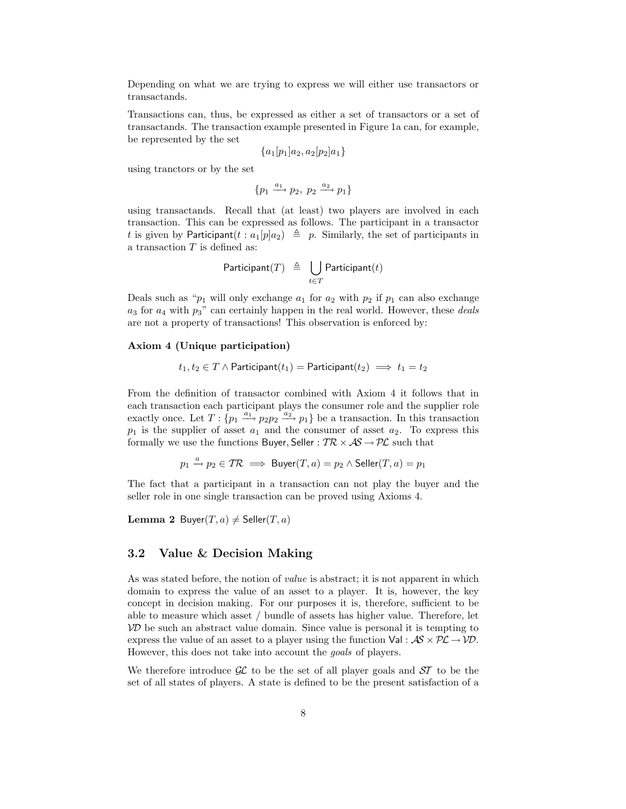Depending on what we are trying to express we will either use transactors or transactands.

Transactions can, thus, be expressed as either a set of transactors or a set of transactands. The transaction example presented in Figure 1a can, for example, be represented by the set

$$
\{a_1[p_1]a_2, a_2[p_2]a_1\}
$$

using tranctors or by the set

$$
\{p_1 \xrightarrow{a_1} p_2, \; p_2 \xrightarrow{a_2} p_1\}
$$

using transactands. Recall that (at least) two players are involved in each transaction. This can be expressed as follows. The participant in a transactor t is given by Participant $(t : a_1[p]a_2) \triangleq p$ . Similarly, the set of participants in a transaction  $T$  is defined as:

$$
\mathsf{Participant}(T) \triangleq \bigcup_{t \in T} \mathsf{Participant}(t)
$$

Deals such as " $p_1$  will only exchange  $a_1$  for  $a_2$  with  $p_2$  if  $p_1$  can also exchange  $a_3$  for  $a_4$  with  $p_3$ " can certainly happen in the real world. However, these *deals* are not a property of transactions! This observation is enforced by:

#### Axiom 4 (Unique participation)

$$
t_1, t_2 \in T \land \mathsf{Participant}(t_1) = \mathsf{Participant}(t_2) \implies t_1 = t_2
$$

From the definition of transactor combined with Axiom 4 it follows that in each transaction each participant plays the consumer role and the supplier role exactly once. Let  $T: \{p_1 \stackrel{a_1}{\longrightarrow} p_2p_2 \stackrel{a_2}{\longrightarrow} p_1\}$  be a transaction. In this transaction  $p_1$  is the supplier of asset  $a_1$  and the consumer of asset  $a_2$ . To express this formally we use the functions Buyer, Seller :  $TR \times AS \rightarrow PL$  such that

$$
p_1 \xrightarrow{a} p_2 \in \mathcal{TR} \implies \text{Buyer}(T, a) = p_2 \land \text{Seller}(T, a) = p_1
$$

The fact that a participant in a transaction can not play the buyer and the seller role in one single transaction can be proved using Axioms 4.

**Lemma 2** Buyer $(T, a) \neq$  Seller $(T, a)$ 

### 3.2 Value & Decision Making

As was stated before, the notion of value is abstract; it is not apparent in which domain to express the value of an asset to a player. It is, however, the key concept in decision making. For our purposes it is, therefore, sufficient to be able to measure which asset / bundle of assets has higher value. Therefore, let  $VD$  be such an abstract value domain. Since value is personal it is tempting to express the value of an asset to a player using the function  $Val : AS \times PL \rightarrow VD$ . However, this does not take into account the goals of players.

We therefore introduce  $\mathcal{GL}$  to be the set of all player goals and  $\mathcal{ST}$  to be the set of all states of players. A state is defined to be the present satisfaction of a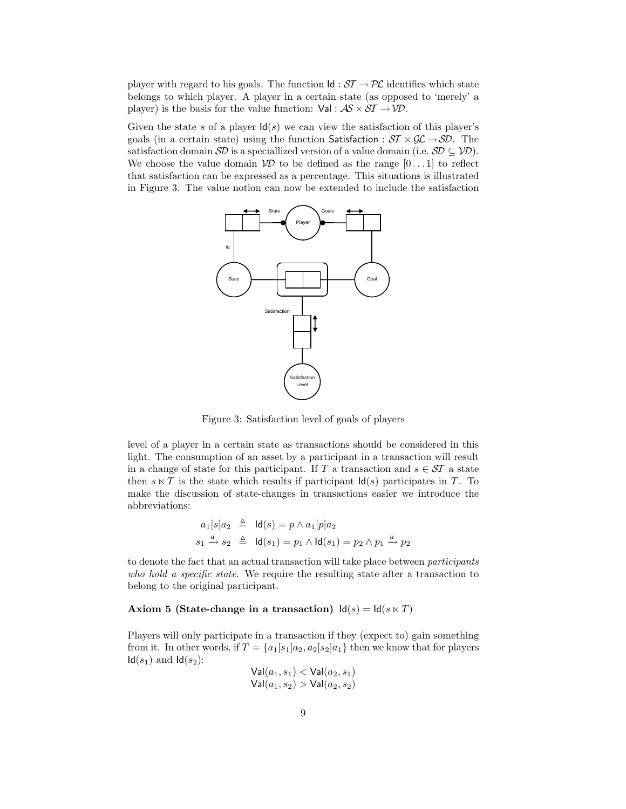player with regard to his goals. The function  $\mathsf{Id} : \mathcal{ST} \to \mathcal{PL}$  identifies which state belongs to which player. A player in a certain state (as opposed to 'merely' a player) is the basis for the value function:  $Val : AS \times ST \rightarrow \mathcal{VD}$ .

Given the state s of a player  $\mathsf{Id}(s)$  we can view the satisfaction of this player's goals (in a certain state) using the function Satisfaction :  $ST \times GL \rightarrow SD$ . The satisfaction domain  $\mathcal{SD}$  is a speciallized version of a value domain (i.e.  $\mathcal{SD} \subseteq \mathcal{VD}$ ). We choose the value domain  $\mathcal{V}D$  to be defined as the range  $[0 \dots 1]$  to reflect that satisfaction can be expressed as a percentage. This situations is illustrated in Figure 3. The value notion can now be extended to include the satisfaction



Figure 3: Satisfaction level of goals of players

level of a player in a certain state as transactions should be considered in this light. The consumption of an asset by a participant in a transaction will result in a change of state for this participant. If T a transaction and  $s \in \mathcal{ST}$  a state then  $s \ltimes T$  is the state which results if participant  $\mathsf{Id}(s)$  participates in T. To make the discussion of state-changes in transactions easier we introduce the abbreviations:

$$
a_1[s]a_2 \triangleq \mathsf{Id}(s) = p \land a_1[p]a_2
$$
  
\n
$$
s_1 \stackrel{a}{\rightarrow} s_2 \triangleq \mathsf{Id}(s_1) = p_1 \land \mathsf{Id}(s_1) = p_2 \land p_1 \stackrel{a}{\rightarrow} p_2
$$

to denote the fact that an actual transaction will take place between participants who hold a specific state. We require the resulting state after a transaction to belong to the original participant.

#### Axiom 5 (State-change in a transaction)  $\text{Id}(s) = \text{Id}(s \ltimes T)$

Players will only participate in a transaction if they (expect to) gain something from it. In other words, if  $T = \{a_1[s_1]a_2, a_2[s_2]a_1\}$  then we know that for players  $\mathsf{Id}(s_1)$  and  $\mathsf{Id}(s_2)$ :

$$
\mathsf{Val}(a_1, s_1) < \mathsf{Val}(a_2, s_1)
$$
\n
$$
\mathsf{Val}(a_1, s_2) > \mathsf{Val}(a_2, s_2)
$$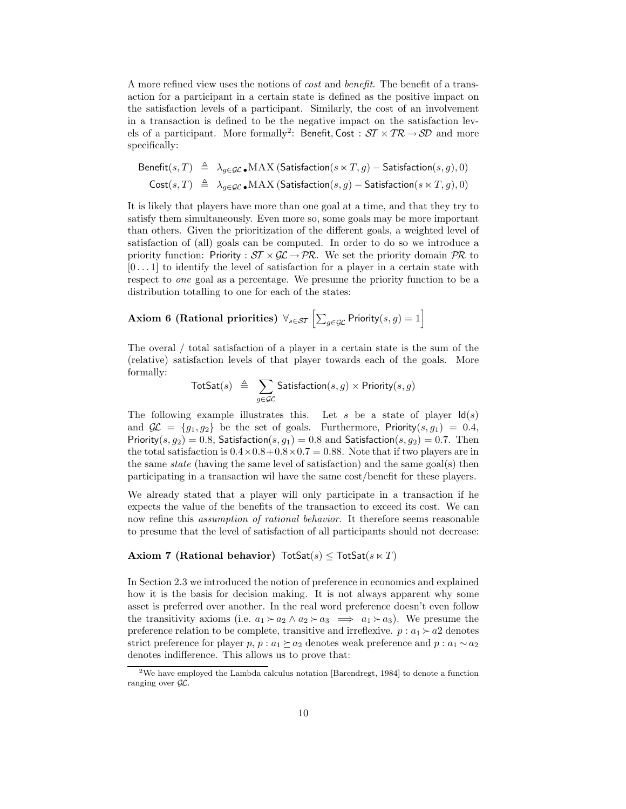A more refined view uses the notions of cost and benefit. The benefit of a transaction for a participant in a certain state is defined as the positive impact on the satisfaction levels of a participant. Similarly, the cost of an involvement in a transaction is defined to be the negative impact on the satisfaction levels of a participant. More formally<sup>2</sup>: Benefit, Cost :  $ST \times TR \rightarrow SD$  and more specifically:

$$
\begin{array}{rcl}\n\text{Benefit}(s,T) & \triangleq & \lambda_{g \in \mathcal{GL}} \blacksquare \text{MAX (Satisfactor}(s \ltimes T, g) - \text{Satisfactor}(s, g), 0) \\
\text{Cost}(s,T) & \triangleq & \lambda_{g \in \mathcal{GL}} \blacksquare \text{MAX (Satisfactor}(s, g) - \text{Satisfactor}(s \ltimes T, g), 0)\n\end{array}
$$

It is likely that players have more than one goal at a time, and that they try to satisfy them simultaneously. Even more so, some goals may be more important than others. Given the prioritization of the different goals, a weighted level of satisfaction of (all) goals can be computed. In order to do so we introduce a priority function: Priority :  $ST \times GL \to PR$ . We set the priority domain PR to  $[0 \dots 1]$  to identify the level of satisfaction for a player in a certain state with respect to one goal as a percentage. We presume the priority function to be a distribution totalling to one for each of the states:

# Axiom 6 (Rational priorities)  $\forall_{s \in \mathcal{ST}} \left[ \sum_{g \in \mathcal{GL}} \mathsf{Priority}(s, g) = 1 \right]$

The overal / total satisfaction of a player in a certain state is the sum of the (relative) satisfaction levels of that player towards each of the goals. More formally:

$$
\mathsf{TotSat}(s) \;\; \triangleq \;\; \sum_{g \in \mathcal{GL}} \mathsf{Satisfaction}(s,g) \times \mathsf{Priority}(s,g)
$$

The following example illustrates this. Let s be a state of player  $\mathsf{Id}(s)$ and  $\mathcal{GL} = \{q_1, q_2\}$  be the set of goals. Furthermore, Priority $(s, q_1) = 0.4$ , Priority(s,  $g_2$ ) = 0.8, Satisfaction(s,  $g_1$ ) = 0.8 and Satisfaction(s,  $g_2$ ) = 0.7. Then the total satisfaction is  $0.4 \times 0.8 + 0.8 \times 0.7 = 0.88$ . Note that if two players are in the same *state* (having the same level of satisfaction) and the same goal(s) then participating in a transaction wil have the same cost/benefit for these players.

We already stated that a player will only participate in a transaction if he expects the value of the benefits of the transaction to exceed its cost. We can now refine this *assumption of rational behavior*. It therefore seems reasonable to presume that the level of satisfaction of all participants should not decrease:

#### Axiom 7 (Rational behavior)  $\text{TotSat}(s) \leq \text{TotSat}(s \ltimes T)$

In Section 2.3 we introduced the notion of preference in economics and explained how it is the basis for decision making. It is not always apparent why some asset is preferred over another. In the real word preference doesn't even follow the transitivity axioms (i.e.  $a_1 \succ a_2 \land a_2 \succ a_3 \implies a_1 \succ a_3$ ). We presume the preference relation to be complete, transitive and irreflexive.  $p : a_1 \succ a_2$  denotes strict preference for player p,  $p : a_1 \succeq a_2$  denotes weak preference and  $p : a_1 \sim a_2$ denotes indifference. This allows us to prove that:

 $2$ We have employed the Lambda calculus notation [Barendregt, 1984] to denote a function ranging over  $\mathcal{GL}$ .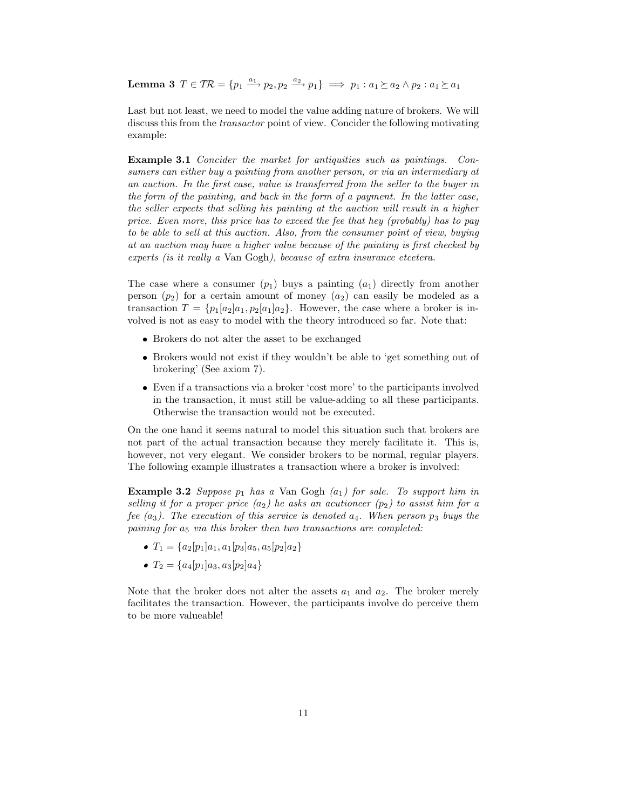Lemma 3  $T \in \mathcal{TR} = \{p_1 \xrightarrow{a_1} p_2, p_2 \xrightarrow{a_2} p_1\} \implies p_1 : a_1 \succeq a_2 \wedge p_2 : a_1 \succeq a_1$ 

Last but not least, we need to model the value adding nature of brokers. We will discuss this from the transactor point of view. Concider the following motivating example:

Example 3.1 Concider the market for antiquities such as paintings. Consumers can either buy a painting from another person, or via an intermediary at an auction. In the first case, value is transferred from the seller to the buyer in the form of the painting, and back in the form of a payment. In the latter case, the seller expects that selling his painting at the auction will result in a higher price. Even more, this price has to exceed the fee that hey (probably) has to pay to be able to sell at this auction. Also, from the consumer point of view, buying at an auction may have a higher value because of the painting is first checked by experts (is it really a Van Gogh), because of extra insurance etcetera.

The case where a consumer  $(p_1)$  buys a painting  $(a_1)$  directly from another person  $(p_2)$  for a certain amount of money  $(a_2)$  can easily be modeled as a transaction  $T = \{p_1[a_2]a_1, p_2[a_1]a_2\}$ . However, the case where a broker is involved is not as easy to model with the theory introduced so far. Note that:

- Brokers do not alter the asset to be exchanged
- Brokers would not exist if they wouldn't be able to 'get something out of brokering' (See axiom 7).
- Even if a transactions via a broker 'cost more' to the participants involved in the transaction, it must still be value-adding to all these participants. Otherwise the transaction would not be executed.

On the one hand it seems natural to model this situation such that brokers are not part of the actual transaction because they merely facilitate it. This is, however, not very elegant. We consider brokers to be normal, regular players. The following example illustrates a transaction where a broker is involved:

**Example 3.2** Suppose  $p_1$  has a Van Gogh  $(a_1)$  for sale. To support him in selling it for a proper price  $(a_2)$  he asks an acutioneer  $(p_2)$  to assist him for a fee  $(a_3)$ . The execution of this service is denoted  $a_4$ . When person  $p_3$  buys the paining for  $a_5$  via this broker then two transactions are completed:

- $T_1 = \{a_2[p_1]a_1, a_1[p_3]a_5, a_5[p_2]a_2\}$
- $T_2 = \{a_4[p_1]a_3, a_3[p_2]a_4\}$

Note that the broker does not alter the assets  $a_1$  and  $a_2$ . The broker merely facilitates the transaction. However, the participants involve do perceive them to be more valueable!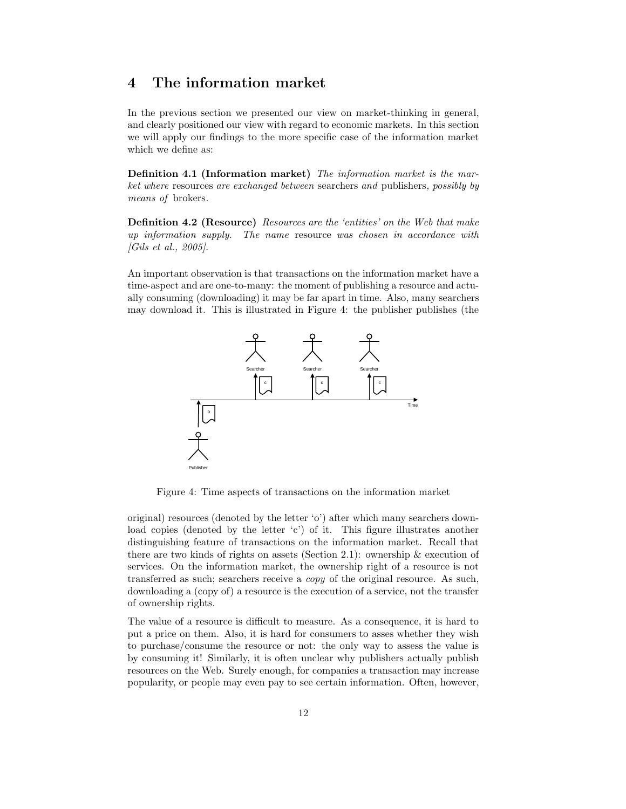# 4 The information market

In the previous section we presented our view on market-thinking in general, and clearly positioned our view with regard to economic markets. In this section we will apply our findings to the more specific case of the information market which we define as:

Definition 4.1 (Information market) The information market is the market where resources are exchanged between searchers and publishers, possibly by means of brokers.

Definition 4.2 (Resource) Resources are the 'entities' on the Web that make up information supply. The name resource was chosen in accordance with [Gils et al., 2005].

An important observation is that transactions on the information market have a time-aspect and are one-to-many: the moment of publishing a resource and actually consuming (downloading) it may be far apart in time. Also, many searchers may download it. This is illustrated in Figure 4: the publisher publishes (the



Figure 4: Time aspects of transactions on the information market

original) resources (denoted by the letter 'o') after which many searchers download copies (denoted by the letter 'c') of it. This figure illustrates another distinguishing feature of transactions on the information market. Recall that there are two kinds of rights on assets (Section 2.1): ownership & execution of services. On the information market, the ownership right of a resource is not transferred as such; searchers receive a copy of the original resource. As such, downloading a (copy of) a resource is the execution of a service, not the transfer of ownership rights.

The value of a resource is difficult to measure. As a consequence, it is hard to put a price on them. Also, it is hard for consumers to asses whether they wish to purchase/consume the resource or not: the only way to assess the value is by consuming it! Similarly, it is often unclear why publishers actually publish resources on the Web. Surely enough, for companies a transaction may increase popularity, or people may even pay to see certain information. Often, however,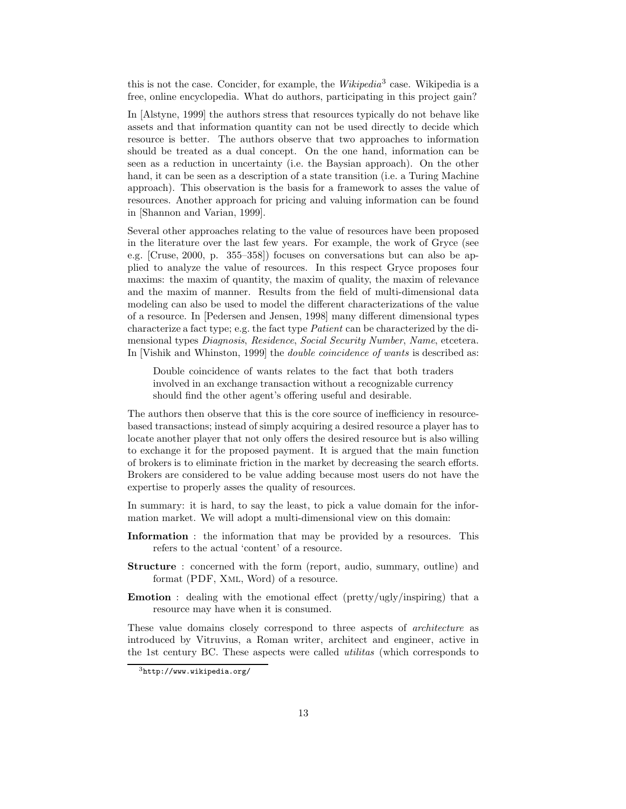this is not the case. Concider, for example, the  $Wikipedia<sup>3</sup>$  case. Wikipedia is a free, online encyclopedia. What do authors, participating in this project gain?

In [Alstyne, 1999] the authors stress that resources typically do not behave like assets and that information quantity can not be used directly to decide which resource is better. The authors observe that two approaches to information should be treated as a dual concept. On the one hand, information can be seen as a reduction in uncertainty (i.e. the Baysian approach). On the other hand, it can be seen as a description of a state transition (i.e. a Turing Machine approach). This observation is the basis for a framework to asses the value of resources. Another approach for pricing and valuing information can be found in [Shannon and Varian, 1999].

Several other approaches relating to the value of resources have been proposed in the literature over the last few years. For example, the work of Gryce (see e.g. [Cruse, 2000, p. 355–358]) focuses on conversations but can also be applied to analyze the value of resources. In this respect Gryce proposes four maxims: the maxim of quantity, the maxim of quality, the maxim of relevance and the maxim of manner. Results from the field of multi-dimensional data modeling can also be used to model the different characterizations of the value of a resource. In [Pedersen and Jensen, 1998] many different dimensional types characterize a fact type; e.g. the fact type Patient can be characterized by the dimensional types Diagnosis, Residence, Social Security Number, Name, etcetera. In [Vishik and Whinston, 1999] the double coincidence of wants is described as:

Double coincidence of wants relates to the fact that both traders involved in an exchange transaction without a recognizable currency should find the other agent's offering useful and desirable.

The authors then observe that this is the core source of inefficiency in resourcebased transactions; instead of simply acquiring a desired resource a player has to locate another player that not only offers the desired resource but is also willing to exchange it for the proposed payment. It is argued that the main function of brokers is to eliminate friction in the market by decreasing the search efforts. Brokers are considered to be value adding because most users do not have the expertise to properly asses the quality of resources.

In summary: it is hard, to say the least, to pick a value domain for the information market. We will adopt a multi-dimensional view on this domain:

- Information : the information that may be provided by a resources. This refers to the actual 'content' of a resource.
- Structure : concerned with the form (report, audio, summary, outline) and format (PDF, Xml, Word) of a resource.
- Emotion : dealing with the emotional effect (pretty/ugly/inspiring) that a resource may have when it is consumed.

These value domains closely correspond to three aspects of architecture as introduced by Vitruvius, a Roman writer, architect and engineer, active in the 1st century BC. These aspects were called utilitas (which corresponds to

 $3$ http://www.wikipedia.org/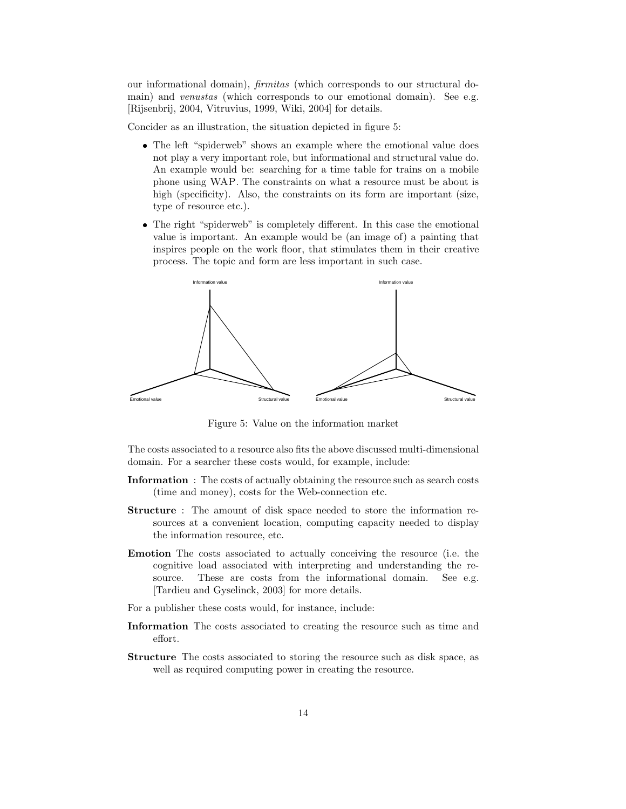our informational domain), firmitas (which corresponds to our structural domain) and *venustas* (which corresponds to our emotional domain). See e.g. [Rijsenbrij, 2004, Vitruvius, 1999, Wiki, 2004] for details.

Concider as an illustration, the situation depicted in figure 5:

- The left "spiderweb" shows an example where the emotional value does not play a very important role, but informational and structural value do. An example would be: searching for a time table for trains on a mobile phone using WAP. The constraints on what a resource must be about is high (specificity). Also, the constraints on its form are important (size, type of resource etc.).
- The right "spiderweb" is completely different. In this case the emotional value is important. An example would be (an image of) a painting that inspires people on the work floor, that stimulates them in their creative process. The topic and form are less important in such case.



Figure 5: Value on the information market

The costs associated to a resource also fits the above discussed multi-dimensional domain. For a searcher these costs would, for example, include:

- Information : The costs of actually obtaining the resource such as search costs (time and money), costs for the Web-connection etc.
- Structure : The amount of disk space needed to store the information resources at a convenient location, computing capacity needed to display the information resource, etc.
- Emotion The costs associated to actually conceiving the resource (i.e. the cognitive load associated with interpreting and understanding the resource. These are costs from the informational domain. See e.g. [Tardieu and Gyselinck, 2003] for more details.
- For a publisher these costs would, for instance, include:
- Information The costs associated to creating the resource such as time and effort.
- Structure The costs associated to storing the resource such as disk space, as well as required computing power in creating the resource.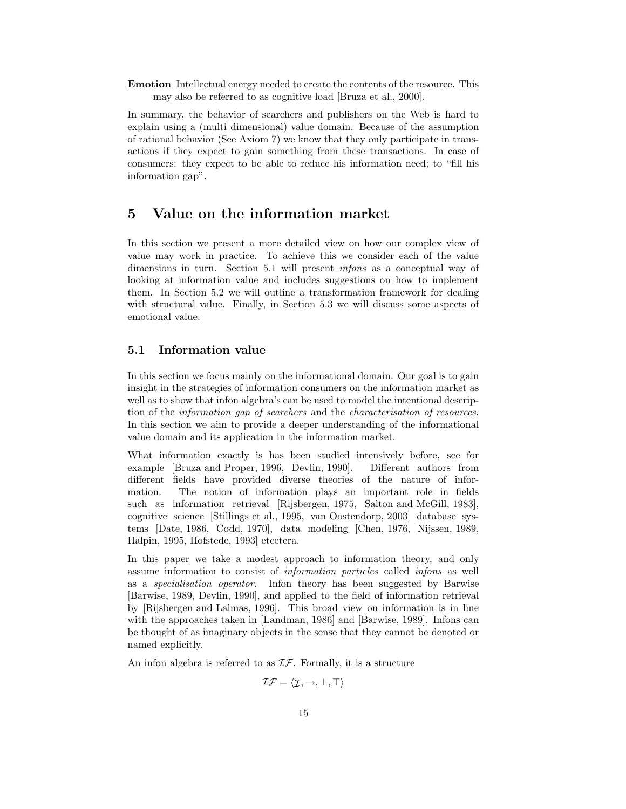Emotion Intellectual energy needed to create the contents of the resource. This may also be referred to as cognitive load [Bruza et al., 2000].

In summary, the behavior of searchers and publishers on the Web is hard to explain using a (multi dimensional) value domain. Because of the assumption of rational behavior (See Axiom 7) we know that they only participate in transactions if they expect to gain something from these transactions. In case of consumers: they expect to be able to reduce his information need; to "fill his information gap".

# 5 Value on the information market

In this section we present a more detailed view on how our complex view of value may work in practice. To achieve this we consider each of the value dimensions in turn. Section 5.1 will present infons as a conceptual way of looking at information value and includes suggestions on how to implement them. In Section 5.2 we will outline a transformation framework for dealing with structural value. Finally, in Section 5.3 we will discuss some aspects of emotional value.

### 5.1 Information value

In this section we focus mainly on the informational domain. Our goal is to gain insight in the strategies of information consumers on the information market as well as to show that infon algebra's can be used to model the intentional description of the information gap of searchers and the characterisation of resources. In this section we aim to provide a deeper understanding of the informational value domain and its application in the information market.

What information exactly is has been studied intensively before, see for example [Bruza and Proper, 1996, Devlin, 1990]. Different authors from different fields have provided diverse theories of the nature of information. The notion of information plays an important role in fields such as information retrieval [Rijsbergen, 1975, Salton and McGill, 1983], cognitive science [Stillings et al., 1995, van Oostendorp, 2003] database systems [Date, 1986, Codd, 1970], data modeling [Chen, 1976, Nijssen, 1989, Halpin, 1995, Hofstede, 1993] etcetera.

In this paper we take a modest approach to information theory, and only assume information to consist of information particles called infons as well as a specialisation operator. Infon theory has been suggested by Barwise [Barwise, 1989, Devlin, 1990], and applied to the field of information retrieval by [Rijsbergen and Lalmas, 1996]. This broad view on information is in line with the approaches taken in [Landman, 1986] and [Barwise, 1989]. Infons can be thought of as imaginary objects in the sense that they cannot be denoted or named explicitly.

An infon algebra is referred to as  $\mathcal{IF}$ . Formally, it is a structure

$$
\mathcal{IF} = \langle \mathcal{I}, \rightarrow, \bot, \top \rangle
$$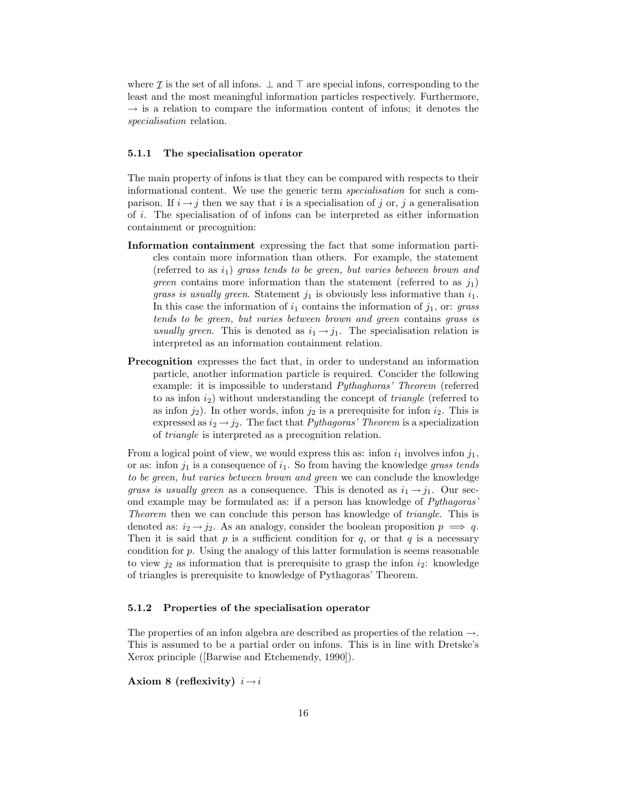where  $\mathcal I$  is the set of all infons.  $\bot$  and  $\top$  are special infons, corresponding to the least and the most meaningful information particles respectively. Furthermore,  $\rightarrow$  is a relation to compare the information content of infons; it denotes the specialisation relation.

#### 5.1.1 The specialisation operator

The main property of infons is that they can be compared with respects to their informational content. We use the generic term specialisation for such a comparison. If  $i \rightarrow j$  then we say that i is a specialisation of j or, j a generalisation of i. The specialisation of of infons can be interpreted as either information containment or precognition:

- Information containment expressing the fact that some information particles contain more information than others. For example, the statement (referred to as  $i_1$ ) grass tends to be green, but varies between brown and *green* contains more information than the statement (referred to as  $j_1$ ) *grass is usually green.* Statement  $j_1$  is obviously less informative than  $i_1$ . In this case the information of  $i_1$  contains the information of  $j_1$ , or: grass tends to be green, but varies between brown and green contains grass is usually green. This is denoted as  $i_1 \rightarrow j_1$ . The specialisation relation is interpreted as an information containment relation.
- Precognition expresses the fact that, in order to understand an information particle, another information particle is required. Concider the following example: it is impossible to understand Pythaghoras' Theorem (referred to as infon  $i_2$ ) without understanding the concept of *triangle* (referred to as infon  $j_2$ ). In other words, infon  $j_2$  is a prerequisite for infon  $i_2$ . This is expressed as  $i_2 \rightarrow j_2$ . The fact that *Pythagoras' Theorem* is a specialization of triangle is interpreted as a precognition relation.

From a logical point of view, we would express this as: infon  $i_1$  involves infon  $j_1$ , or as: infon  $j_1$  is a consequence of  $i_1$ . So from having the knowledge grass tends to be green, but varies between brown and green we can conclude the knowledge grass is usually green as a consequence. This is denoted as  $i_1 \rightarrow j_1$ . Our second example may be formulated as: if a person has knowledge of Pythagoras' Theorem then we can conclude this person has knowledge of *triangle*. This is denoted as:  $i_2 \rightarrow j_2$ . As an analogy, consider the boolean proposition  $p \implies q$ . Then it is said that p is a sufficient condition for q, or that q is a necessary condition for  $p$ . Using the analogy of this latter formulation is seems reasonable to view  $j_2$  as information that is prerequisite to grasp the infon  $i_2$ : knowledge of triangles is prerequisite to knowledge of Pythagoras' Theorem.

#### 5.1.2 Properties of the specialisation operator

The properties of an infon algebra are described as properties of the relation  $\rightarrow$ . This is assumed to be a partial order on infons. This is in line with Dretske's Xerox principle ([Barwise and Etchemendy, 1990]).

Axiom 8 (reflexivity)  $i \rightarrow i$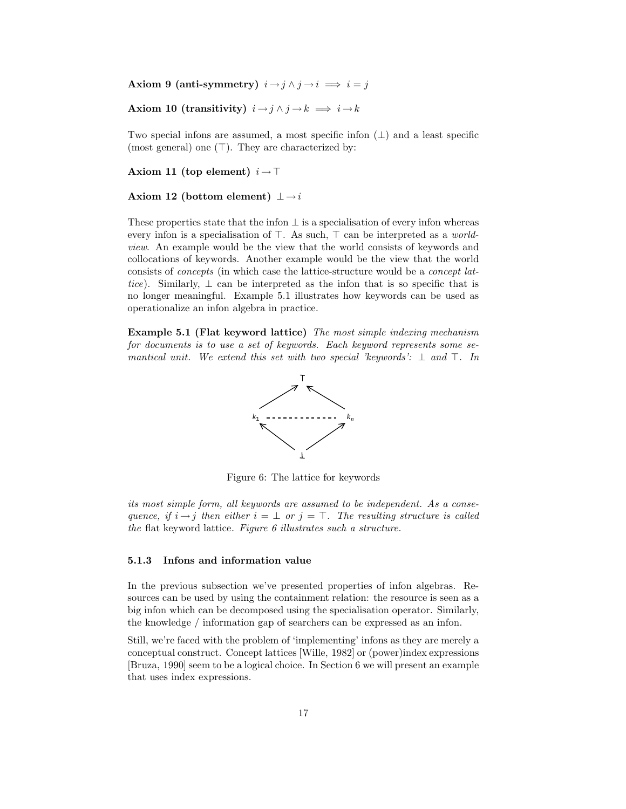Axiom 9 (anti-symmetry)  $i \rightarrow j \land j \rightarrow i \implies i = j$ 

Axiom 10 (transitivity)  $i \rightarrow j \land j \rightarrow k \implies i \rightarrow k$ 

Two special infons are assumed, a most specific infon  $(\perp)$  and a least specific (most general) one  $(\top)$ . They are characterized by:

Axiom 11 (top element)  $i \rightarrow \top$ 

#### Axiom 12 (bottom element)  $\perp \rightarrow i$

These properties state that the infon  $\perp$  is a specialisation of every infon whereas every infon is a specialisation of ⊤. As such, ⊤ can be interpreted as a *world*view. An example would be the view that the world consists of keywords and collocations of keywords. Another example would be the view that the world consists of concepts (in which case the lattice-structure would be a concept lattice). Similarly,  $\perp$  can be interpreted as the infon that is so specific that is no longer meaningful. Example 5.1 illustrates how keywords can be used as operationalize an infon algebra in practice.

Example 5.1 (Flat keyword lattice) The most simple indexing mechanism for documents is to use a set of keywords. Each keyword represents some semantical unit. We extend this set with two special 'keywords':  $\perp$  and  $\top$ . In



Figure 6: The lattice for keywords

its most simple form, all keywords are assumed to be independent. As a consequence, if  $i \rightarrow j$  then either  $i = \perp$  or  $j = \top$ . The resulting structure is called the flat keyword lattice. Figure 6 illustrates such a structure.

#### 5.1.3 Infons and information value

In the previous subsection we've presented properties of infon algebras. Resources can be used by using the containment relation: the resource is seen as a big infon which can be decomposed using the specialisation operator. Similarly, the knowledge / information gap of searchers can be expressed as an infon.

Still, we're faced with the problem of 'implementing' infons as they are merely a conceptual construct. Concept lattices [Wille, 1982] or (power)index expressions [Bruza, 1990] seem to be a logical choice. In Section 6 we will present an example that uses index expressions.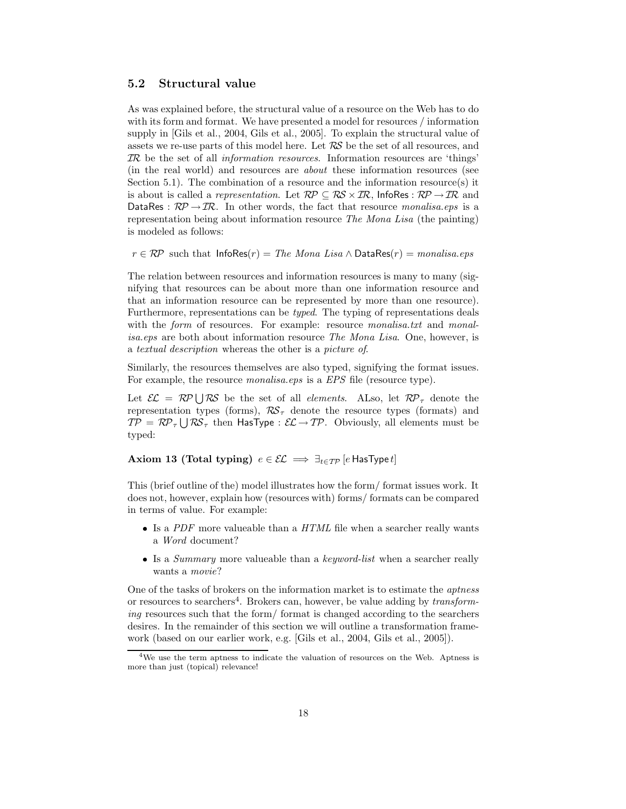### 5.2 Structural value

As was explained before, the structural value of a resource on the Web has to do with its form and format. We have presented a model for resources / information supply in [Gils et al., 2004, Gils et al., 2005]. To explain the structural value of assets we re-use parts of this model here. Let  $RS$  be the set of all resources, and IR be the set of all information resources. Information resources are 'things' (in the real world) and resources are about these information resources (see Section 5.1). The combination of a resource and the information resource(s) it is about is called a *representation*. Let  $\mathcal{RP} \subseteq \mathcal{RS} \times \mathcal{IR}$ , InfoRes :  $\mathcal{RP} \rightarrow \mathcal{IR}$  and DataRes :  $\mathcal{RP} \rightarrow \mathcal{IR}$ . In other words, the fact that resource monalisa.eps is a representation being about information resource The Mona Lisa (the painting) is modeled as follows:

 $r \in \mathcal{RP}$  such that InfoRes $(r)$  = The Mona Lisa  $\wedge$  DataRes $(r)$  = monalisa.eps

The relation between resources and information resources is many to many (signifying that resources can be about more than one information resource and that an information resource can be represented by more than one resource). Furthermore, representations can be typed. The typing of representations deals with the form of resources. For example: resource monalisa.txt and monalisa.eps are both about information resource The Mona Lisa. One, however, is a textual description whereas the other is a picture of.

Similarly, the resources themselves are also typed, signifying the format issues. For example, the resource *monalisa.eps* is a *EPS* file (resource type).

Let  $\mathcal{EL} = \mathcal{RP} \cup \mathcal{RS}$  be the set of all *elements*. ALso, let  $\mathcal{RP}_{\tau}$  denote the representation types (forms),  $\mathcal{RS}_{\tau}$  denote the resource types (formats) and  $TP = RP_\tau \bigcup \mathcal{RS}_\tau$  then HasType :  $\mathcal{EL} \rightarrow TP$ . Obviously, all elements must be typed:

### Axiom 13 (Total typing)  $e \in \mathcal{EL} \implies \exists_{t \in \mathcal{TP}} [e \text{ HasType } t]$

This (brief outline of the) model illustrates how the form/ format issues work. It does not, however, explain how (resources with) forms/ formats can be compared in terms of value. For example:

- $\bullet$  Is a PDF more valueable than a HTML file when a searcher really wants a Word document?
- $\bullet$  Is a *Summary* more valueable than a *keyword-list* when a searcher really wants a movie?

One of the tasks of brokers on the information market is to estimate the *aptness* or resources to searchers<sup>4</sup>. Brokers can, however, be value adding by *transform*ing resources such that the form/ format is changed according to the searchers desires. In the remainder of this section we will outline a transformation framework (based on our earlier work, e.g. [Gils et al., 2004, Gils et al., 2005]).

<sup>&</sup>lt;sup>4</sup>We use the term aptness to indicate the valuation of resources on the Web. Aptness is more than just (topical) relevance!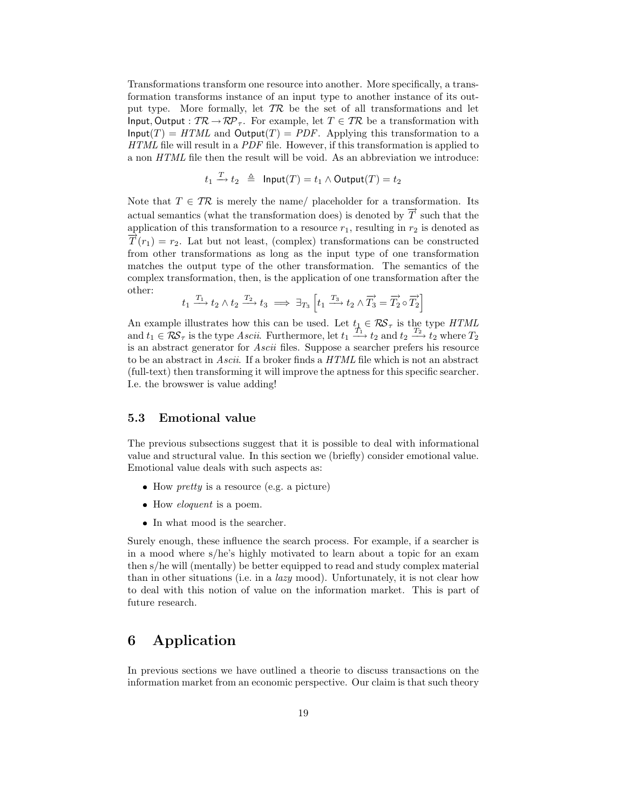Transformations transform one resource into another. More specifically, a transformation transforms instance of an input type to another instance of its output type. More formally, let  $TR$  be the set of all transformations and let Input, Output :  $TR \rightarrow RP_{\tau}$ . For example, let  $T \in TR$  be a transformation with  $\mathsf{Input}(T) = HTML$  and  $\mathsf{Output}(T) = PDF$ . Applying this transformation to a HTML file will result in a PDF file. However, if this transformation is applied to a non HTML file then the result will be void. As an abbreviation we introduce:

$$
t_1 \xrightarrow{T} t_2 \triangleq \text{ Input}(T) = t_1 \land \text{Output}(T) = t_2
$$

Note that  $T \in \mathcal{TR}$  is merely the name/ placeholder for a transformation. Its actual semantics (what the transformation does) is denoted by  $\overrightarrow{T}$  such that the application of this transformation to a resource  $r_1$ , resulting in  $r_2$  is denoted as  $\overline{T}(r_1) = r_2$ . Lat but not least, (complex) transformations can be constructed from other transformations as long as the input type of one transformation matches the output type of the other transformation. The semantics of the complex transformation, then, is the application of one transformation after the other:

$$
t_1 \xrightarrow{T_1} t_2 \wedge t_2 \xrightarrow{T_2} t_3 \implies \exists_{T_3} \left[t_1 \xrightarrow{T_3} t_2 \wedge \overrightarrow{T_3} = \overrightarrow{T_2} \circ \overrightarrow{T_2}\right]
$$

An example illustrates how this can be used. Let  $t_1 \in \mathcal{RS}_{\tau}$  is the type HTML and  $t_1 \in \mathcal{RS}_{\tau}$  is the type Ascii. Furthermore, let  $t_1 \xrightarrow{T_1} t_2$  and  $t_2 \xrightarrow{T_2} t_2$  where  $T_2$ is an abstract generator for Ascii files. Suppose a searcher prefers his resource to be an abstract in Ascii. If a broker finds a HTML file which is not an abstract (full-text) then transforming it will improve the aptness for this specific searcher. I.e. the browswer is value adding!

### 5.3 Emotional value

The previous subsections suggest that it is possible to deal with informational value and structural value. In this section we (briefly) consider emotional value. Emotional value deals with such aspects as:

- $\bullet$  How *pretty* is a resource (e.g. a picture)
- How *eloquent* is a poem.
- In what mood is the searcher.

Surely enough, these influence the search process. For example, if a searcher is in a mood where s/he's highly motivated to learn about a topic for an exam then s/he will (mentally) be better equipped to read and study complex material than in other situations (i.e. in a lazy mood). Unfortunately, it is not clear how to deal with this notion of value on the information market. This is part of future research.

# 6 Application

In previous sections we have outlined a theorie to discuss transactions on the information market from an economic perspective. Our claim is that such theory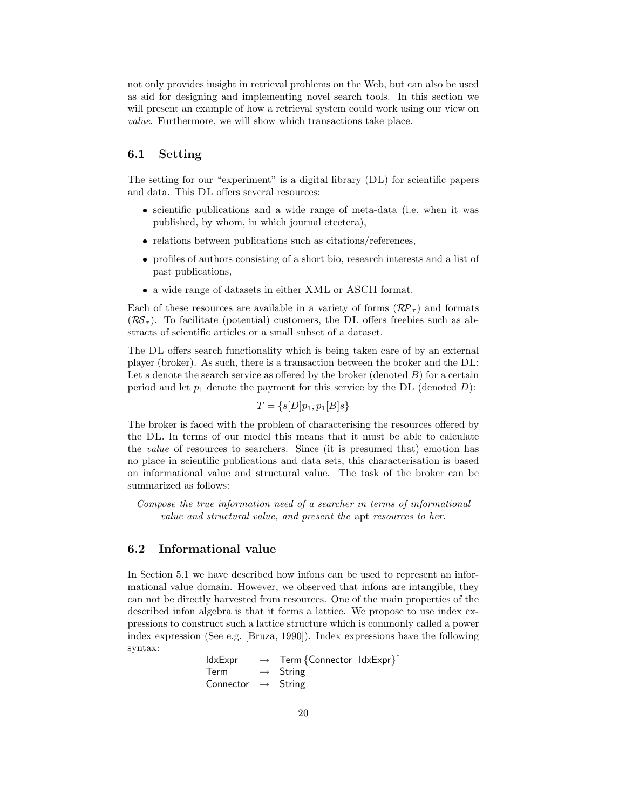not only provides insight in retrieval problems on the Web, but can also be used as aid for designing and implementing novel search tools. In this section we will present an example of how a retrieval system could work using our view on value. Furthermore, we will show which transactions take place.

# 6.1 Setting

The setting for our "experiment" is a digital library (DL) for scientific papers and data. This DL offers several resources:

- scientific publications and a wide range of meta-data (i.e. when it was published, by whom, in which journal etcetera),
- relations between publications such as citations/references,
- profiles of authors consisting of a short bio, research interests and a list of past publications,
- a wide range of datasets in either XML or ASCII format.

Each of these resources are available in a variety of forms  $(\mathcal{RP}_{\tau})$  and formats  $(\mathcal{RS}_{\tau})$ . To facilitate (potential) customers, the DL offers freebies such as abstracts of scientific articles or a small subset of a dataset.

The DL offers search functionality which is being taken care of by an external player (broker). As such, there is a transaction between the broker and the DL: Let s denote the search service as offered by the broker (denoted  $B$ ) for a certain period and let  $p_1$  denote the payment for this service by the DL (denoted D):

$$
T = \{s[D]p_1, p_1[B]s\}
$$

The broker is faced with the problem of characterising the resources offered by the DL. In terms of our model this means that it must be able to calculate the value of resources to searchers. Since (it is presumed that) emotion has no place in scientific publications and data sets, this characterisation is based on informational value and structural value. The task of the broker can be summarized as follows:

Compose the true information need of a searcher in terms of informational value and structural value, and present the apt resources to her.

### 6.2 Informational value

In Section 5.1 we have described how infons can be used to represent an informational value domain. However, we observed that infons are intangible, they can not be directly harvested from resources. One of the main properties of the described infon algebra is that it forms a lattice. We propose to use index expressions to construct such a lattice structure which is commonly called a power index expression (See e.g. [Bruza, 1990]). Index expressions have the following syntax:

IdxExpr → Term {Connector IdxExpr}<sup>\*</sup>  $Term \rightarrow String$ Connector  $\rightarrow$  String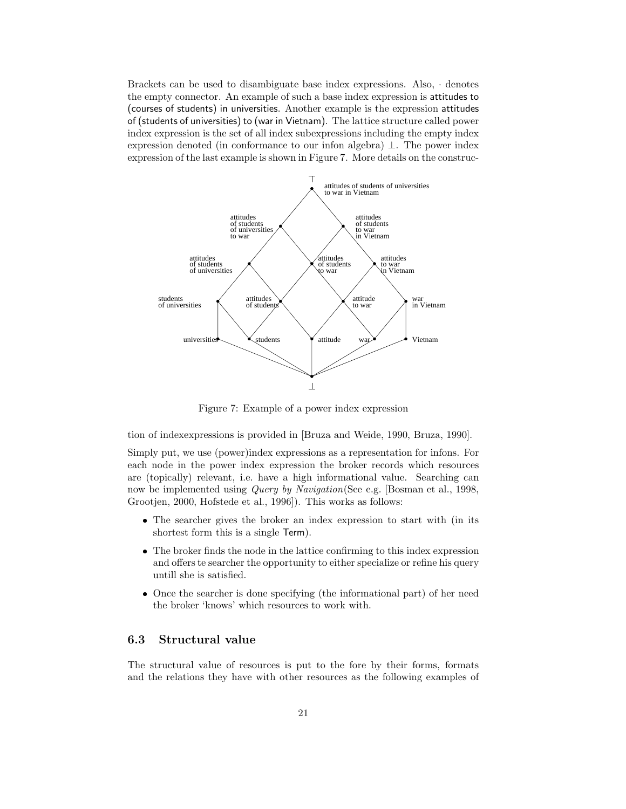Brackets can be used to disambiguate base index expressions. Also, · denotes the empty connector. An example of such a base index expression is attitudes to (courses of students) in universities. Another example is the expression attitudes of (students of universities) to (war in Vietnam). The lattice structure called power index expression is the set of all index subexpressions including the empty index expression denoted (in conformance to our infon algebra) ⊥. The power index expression of the last example is shown in Figure 7. More details on the construc-



Figure 7: Example of a power index expression

tion of indexexpressions is provided in [Bruza and Weide, 1990, Bruza, 1990].

Simply put, we use (power)index expressions as a representation for infons. For each node in the power index expression the broker records which resources are (topically) relevant, i.e. have a high informational value. Searching can now be implemented using *Query by Navigation*(See e.g. [Bosman et al., 1998, Grootjen, 2000, Hofstede et al., 1996]). This works as follows:

- The searcher gives the broker an index expression to start with (in its shortest form this is a single Term).
- The broker finds the node in the lattice confirming to this index expression and offers te searcher the opportunity to either specialize or refine his query untill she is satisfied.
- Once the searcher is done specifying (the informational part) of her need the broker 'knows' which resources to work with.

# 6.3 Structural value

The structural value of resources is put to the fore by their forms, formats and the relations they have with other resources as the following examples of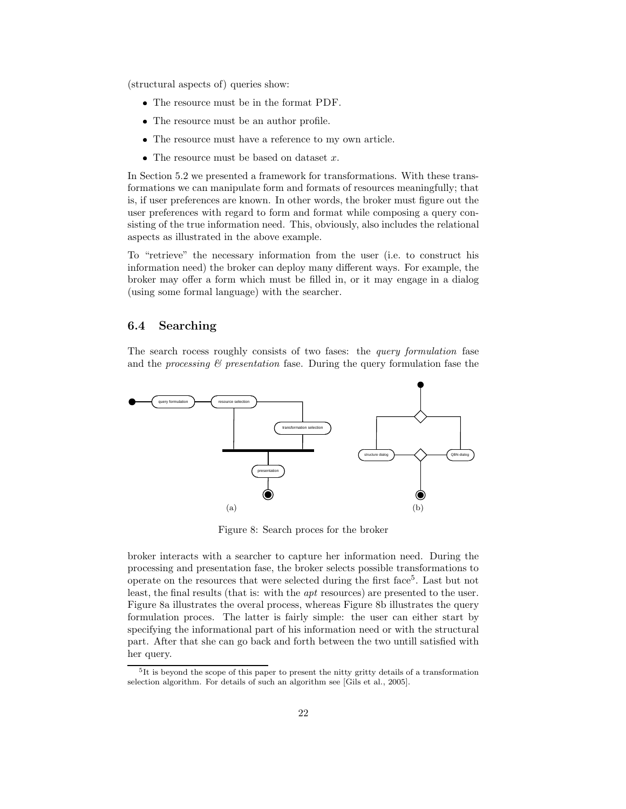(structural aspects of) queries show:

- The resource must be in the format PDF.
- The resource must be an author profile.
- The resource must have a reference to my own article.
- The resource must be based on dataset  $x$ .

In Section 5.2 we presented a framework for transformations. With these transformations we can manipulate form and formats of resources meaningfully; that is, if user preferences are known. In other words, the broker must figure out the user preferences with regard to form and format while composing a query consisting of the true information need. This, obviously, also includes the relational aspects as illustrated in the above example.

To "retrieve" the necessary information from the user (i.e. to construct his information need) the broker can deploy many different ways. For example, the broker may offer a form which must be filled in, or it may engage in a dialog (using some formal language) with the searcher.

### 6.4 Searching

The search rocess roughly consists of two fases: the *query formulation* fase and the processing  $\mathcal{C}$  presentation fase. During the query formulation fase the



Figure 8: Search proces for the broker

broker interacts with a searcher to capture her information need. During the processing and presentation fase, the broker selects possible transformations to operate on the resources that were selected during the first face<sup>5</sup>. Last but not least, the final results (that is: with the apt resources) are presented to the user. Figure 8a illustrates the overal process, whereas Figure 8b illustrates the query formulation proces. The latter is fairly simple: the user can either start by specifying the informational part of his information need or with the structural part. After that she can go back and forth between the two untill satisfied with her query.

<sup>&</sup>lt;sup>5</sup>It is beyond the scope of this paper to present the nitty gritty details of a transformation selection algorithm. For details of such an algorithm see [Gils et al., 2005].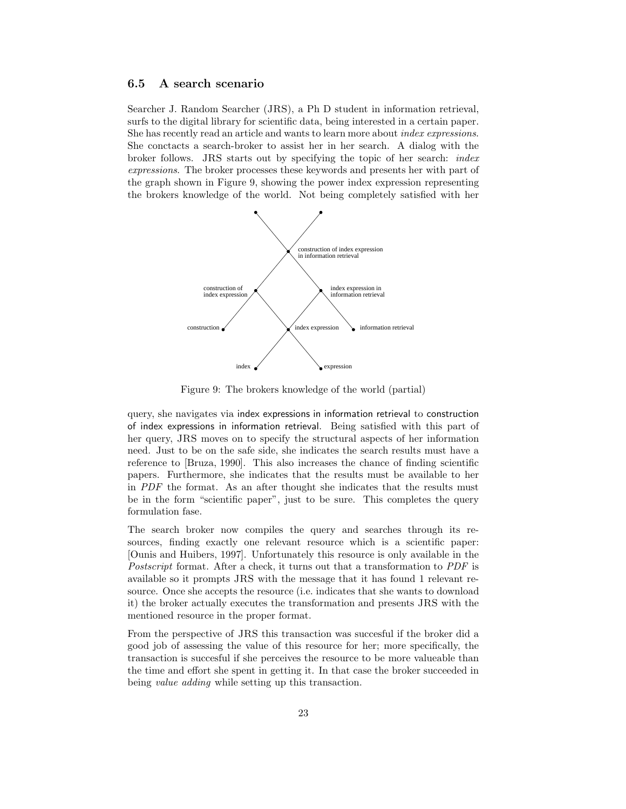### 6.5 A search scenario

Searcher J. Random Searcher (JRS), a Ph D student in information retrieval, surfs to the digital library for scientific data, being interested in a certain paper. She has recently read an article and wants to learn more about *index expressions*. She conctacts a search-broker to assist her in her search. A dialog with the broker follows. JRS starts out by specifying the topic of her search: index expressions. The broker processes these keywords and presents her with part of the graph shown in Figure 9, showing the power index expression representing the brokers knowledge of the world. Not being completely satisfied with her



Figure 9: The brokers knowledge of the world (partial)

query, she navigates via index expressions in information retrieval to construction of index expressions in information retrieval. Being satisfied with this part of her query, JRS moves on to specify the structural aspects of her information need. Just to be on the safe side, she indicates the search results must have a reference to [Bruza, 1990]. This also increases the chance of finding scientific papers. Furthermore, she indicates that the results must be available to her in PDF the format. As an after thought she indicates that the results must be in the form "scientific paper", just to be sure. This completes the query formulation fase.

The search broker now compiles the query and searches through its resources, finding exactly one relevant resource which is a scientific paper: [Ounis and Huibers, 1997]. Unfortunately this resource is only available in the Postscript format. After a check, it turns out that a transformation to PDF is available so it prompts JRS with the message that it has found 1 relevant resource. Once she accepts the resource (i.e. indicates that she wants to download it) the broker actually executes the transformation and presents JRS with the mentioned resource in the proper format.

From the perspective of JRS this transaction was succesful if the broker did a good job of assessing the value of this resource for her; more specifically, the transaction is succesful if she perceives the resource to be more valueable than the time and effort she spent in getting it. In that case the broker succeeded in being *value adding* while setting up this transaction.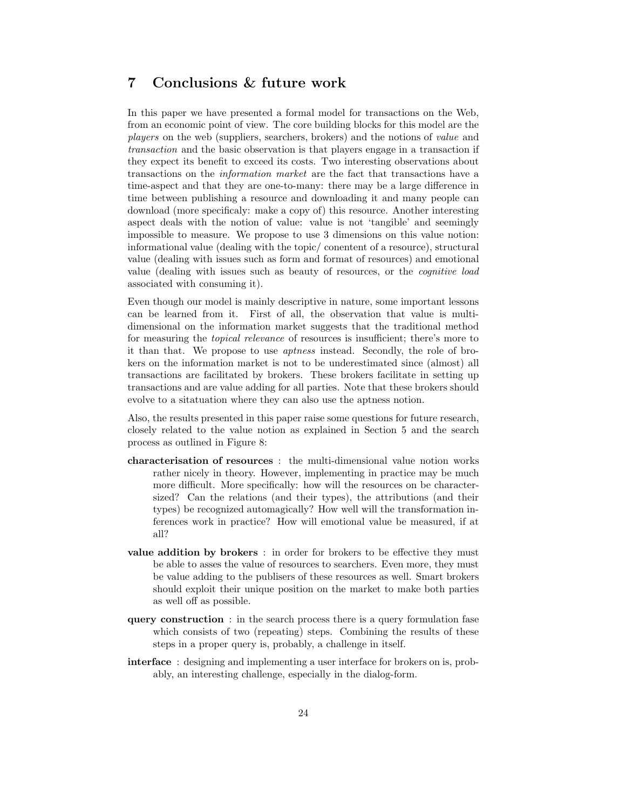# 7 Conclusions & future work

In this paper we have presented a formal model for transactions on the Web, from an economic point of view. The core building blocks for this model are the players on the web (suppliers, searchers, brokers) and the notions of value and transaction and the basic observation is that players engage in a transaction if they expect its benefit to exceed its costs. Two interesting observations about transactions on the information market are the fact that transactions have a time-aspect and that they are one-to-many: there may be a large difference in time between publishing a resource and downloading it and many people can download (more specificaly: make a copy of) this resource. Another interesting aspect deals with the notion of value: value is not 'tangible' and seemingly impossible to measure. We propose to use 3 dimensions on this value notion: informational value (dealing with the topic/ conentent of a resource), structural value (dealing with issues such as form and format of resources) and emotional value (dealing with issues such as beauty of resources, or the cognitive load associated with consuming it).

Even though our model is mainly descriptive in nature, some important lessons can be learned from it. First of all, the observation that value is multidimensional on the information market suggests that the traditional method for measuring the topical relevance of resources is insufficient; there's more to it than that. We propose to use aptness instead. Secondly, the role of brokers on the information market is not to be underestimated since (almost) all transactions are facilitated by brokers. These brokers facilitate in setting up transactions and are value adding for all parties. Note that these brokers should evolve to a sitatuation where they can also use the aptness notion.

Also, the results presented in this paper raise some questions for future research, closely related to the value notion as explained in Section 5 and the search process as outlined in Figure 8:

- characterisation of resources : the multi-dimensional value notion works rather nicely in theory. However, implementing in practice may be much more difficult. More specifically: how will the resources on be charactersized? Can the relations (and their types), the attributions (and their types) be recognized automagically? How well will the transformation inferences work in practice? How will emotional value be measured, if at all?
- value addition by brokers : in order for brokers to be effective they must be able to asses the value of resources to searchers. Even more, they must be value adding to the publisers of these resources as well. Smart brokers should exploit their unique position on the market to make both parties as well off as possible.
- query construction : in the search process there is a query formulation fase which consists of two (repeating) steps. Combining the results of these steps in a proper query is, probably, a challenge in itself.
- interface : designing and implementing a user interface for brokers on is, probably, an interesting challenge, especially in the dialog-form.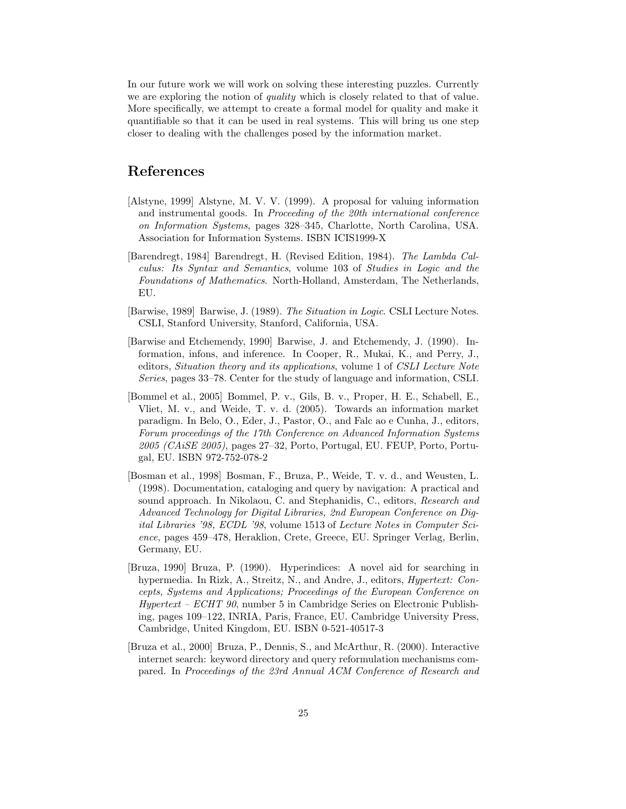In our future work we will work on solving these interesting puzzles. Currently we are exploring the notion of *quality* which is closely related to that of value. More specifically, we attempt to create a formal model for quality and make it quantifiable so that it can be used in real systems. This will bring us one step closer to dealing with the challenges posed by the information market.

# References

- [Alstyne, 1999] Alstyne, M. V. V. (1999). A proposal for valuing information and instrumental goods. In Proceeding of the 20th international conference on Information Systems, pages 328–345, Charlotte, North Carolina, USA. Association for Information Systems. ISBN ICIS1999-X
- [Barendregt, 1984] Barendregt, H. (Revised Edition, 1984). The Lambda Calculus: Its Syntax and Semantics, volume 103 of Studies in Logic and the Foundations of Mathematics. North-Holland, Amsterdam, The Netherlands, EU.
- [Barwise, 1989] Barwise, J. (1989). The Situation in Logic. CSLI Lecture Notes. CSLI, Stanford University, Stanford, California, USA.
- [Barwise and Etchemendy, 1990] Barwise, J. and Etchemendy, J. (1990). Information, infons, and inference. In Cooper, R., Mukai, K., and Perry, J., editors, Situation theory and its applications, volume 1 of CSLI Lecture Note Series, pages 33–78. Center for the study of language and information, CSLI.
- [Bommel et al., 2005] Bommel, P. v., Gils, B. v., Proper, H. E., Schabell, E., Vliet, M. v., and Weide, T. v. d. (2005). Towards an information market paradigm. In Belo, O., Eder, J., Pastor, O., and Falc ao e Cunha, J., editors, Forum proceedings of the 17th Conference on Advanced Information Systems 2005 (CAiSE 2005), pages 27–32, Porto, Portugal, EU. FEUP, Porto, Portugal, EU. ISBN 972-752-078-2
- [Bosman et al., 1998] Bosman, F., Bruza, P., Weide, T. v. d., and Weusten, L. (1998). Documentation, cataloging and query by navigation: A practical and sound approach. In Nikolaou, C. and Stephanidis, C., editors, Research and Advanced Technology for Digital Libraries, 2nd European Conference on Digital Libraries '98, ECDL '98, volume 1513 of Lecture Notes in Computer Science, pages 459–478, Heraklion, Crete, Greece, EU. Springer Verlag, Berlin, Germany, EU.
- [Bruza, 1990] Bruza, P. (1990). Hyperindices: A novel aid for searching in hypermedia. In Rizk, A., Streitz, N., and Andre, J., editors, Hypertext: Concepts, Systems and Applications; Proceedings of the European Conference on  $Hypertext - ECHT 90$ , number 5 in Cambridge Series on Electronic Publishing, pages 109–122, INRIA, Paris, France, EU. Cambridge University Press, Cambridge, United Kingdom, EU. ISBN 0-521-40517-3
- [Bruza et al., 2000] Bruza, P., Dennis, S., and McArthur, R. (2000). Interactive internet search: keyword directory and query reformulation mechanisms compared. In Proceedings of the 23rd Annual ACM Conference of Research and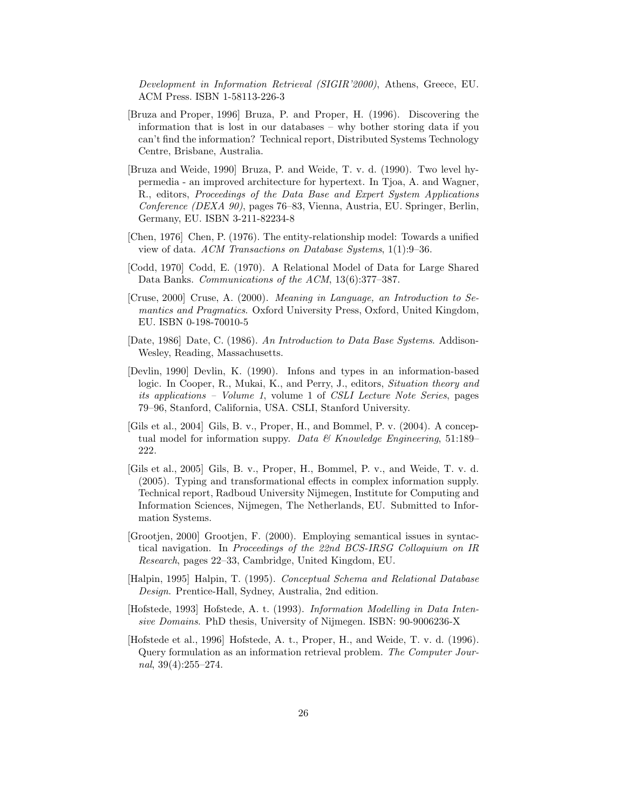Development in Information Retrieval (SIGIR'2000), Athens, Greece, EU. ACM Press. ISBN 1-58113-226-3

- [Bruza and Proper, 1996] Bruza, P. and Proper, H. (1996). Discovering the information that is lost in our databases – why bother storing data if you can't find the information? Technical report, Distributed Systems Technology Centre, Brisbane, Australia.
- [Bruza and Weide, 1990] Bruza, P. and Weide, T. v. d. (1990). Two level hypermedia - an improved architecture for hypertext. In Tjoa, A. and Wagner, R., editors, Proceedings of the Data Base and Expert System Applications Conference (DEXA 90), pages 76–83, Vienna, Austria, EU. Springer, Berlin, Germany, EU. ISBN 3-211-82234-8
- [Chen, 1976] Chen, P. (1976). The entity-relationship model: Towards a unified view of data. ACM Transactions on Database Systems, 1(1):9–36.
- [Codd, 1970] Codd, E. (1970). A Relational Model of Data for Large Shared Data Banks. Communications of the ACM, 13(6):377–387.
- [Cruse, 2000] Cruse, A. (2000). Meaning in Language, an Introduction to Semantics and Pragmatics. Oxford University Press, Oxford, United Kingdom, EU. ISBN 0-198-70010-5
- [Date, 1986] Date, C. (1986). An Introduction to Data Base Systems. Addison-Wesley, Reading, Massachusetts.
- [Devlin, 1990] Devlin, K. (1990). Infons and types in an information-based logic. In Cooper, R., Mukai, K., and Perry, J., editors, Situation theory and its applications – Volume 1, volume 1 of CSLI Lecture Note Series, pages 79–96, Stanford, California, USA. CSLI, Stanford University.
- [Gils et al., 2004] Gils, B. v., Proper, H., and Bommel, P. v. (2004). A conceptual model for information suppy. Data  $\mathcal C$  Knowledge Engineering, 51:189– 222.
- [Gils et al., 2005] Gils, B. v., Proper, H., Bommel, P. v., and Weide, T. v. d. (2005). Typing and transformational effects in complex information supply. Technical report, Radboud University Nijmegen, Institute for Computing and Information Sciences, Nijmegen, The Netherlands, EU. Submitted to Information Systems.
- [Grootjen, 2000] Grootjen, F. (2000). Employing semantical issues in syntactical navigation. In Proceedings of the 22nd BCS-IRSG Colloquium on IR Research, pages 22–33, Cambridge, United Kingdom, EU.
- [Halpin, 1995] Halpin, T. (1995). Conceptual Schema and Relational Database Design. Prentice-Hall, Sydney, Australia, 2nd edition.
- [Hofstede, 1993] Hofstede, A. t. (1993). Information Modelling in Data Intensive Domains. PhD thesis, University of Nijmegen. ISBN: 90-9006236-X
- [Hofstede et al., 1996] Hofstede, A. t., Proper, H., and Weide, T. v. d. (1996). Query formulation as an information retrieval problem. The Computer Journal,  $39(4):255-274$ .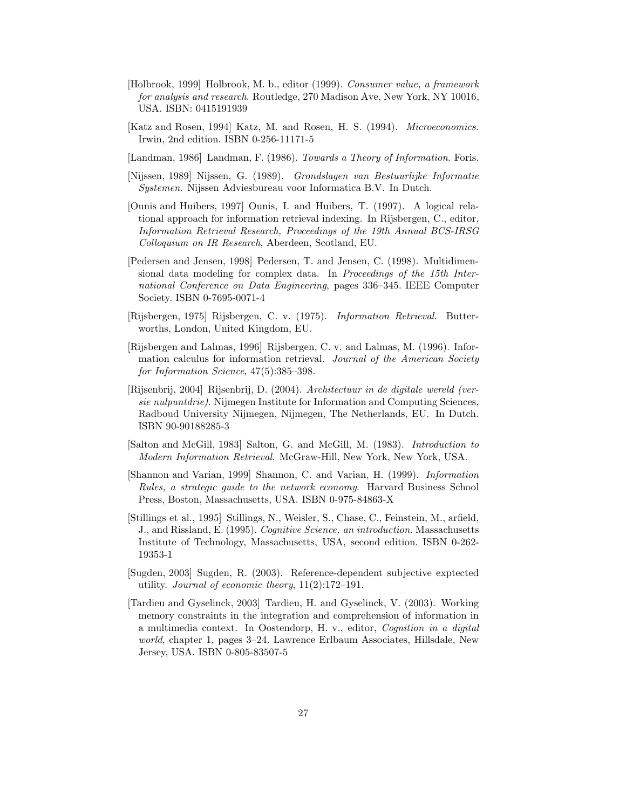- [Holbrook, 1999] Holbrook, M. b., editor (1999). Consumer value, a framework for analysis and research. Routledge, 270 Madison Ave, New York, NY 10016, USA. ISBN: 0415191939
- [Katz and Rosen, 1994] Katz, M. and Rosen, H. S. (1994). Microeconomics. Irwin, 2nd edition. ISBN 0-256-11171-5
- [Landman, 1986] Landman, F. (1986). Towards a Theory of Information. Foris.
- [Nijssen, 1989] Nijssen, G. (1989). Grondslagen van Bestuurlijke Informatie Systemen. Nijssen Adviesbureau voor Informatica B.V. In Dutch.
- [Ounis and Huibers, 1997] Ounis, I. and Huibers, T. (1997). A logical relational approach for information retrieval indexing. In Rijsbergen, C., editor, Information Retrieval Research, Proceedings of the 19th Annual BCS-IRSG Colloquium on IR Research, Aberdeen, Scotland, EU.
- [Pedersen and Jensen, 1998] Pedersen, T. and Jensen, C. (1998). Multidimensional data modeling for complex data. In Proceedings of the 15th International Conference on Data Engineering, pages 336–345. IEEE Computer Society. ISBN 0-7695-0071-4
- [Rijsbergen, 1975] Rijsbergen, C. v. (1975). Information Retrieval. Butterworths, London, United Kingdom, EU.
- [Rijsbergen and Lalmas, 1996] Rijsbergen, C. v. and Lalmas, M. (1996). Information calculus for information retrieval. Journal of the American Society for Information Science, 47(5):385–398.
- [Rijsenbrij, 2004] Rijsenbrij, D. (2004). Architectuur in de digitale wereld (versie nulpuntdrie). Nijmegen Institute for Information and Computing Sciences, Radboud University Nijmegen, Nijmegen, The Netherlands, EU. In Dutch. ISBN 90-90188285-3
- [Salton and McGill, 1983] Salton, G. and McGill, M. (1983). Introduction to Modern Information Retrieval. McGraw-Hill, New York, New York, USA.
- [Shannon and Varian, 1999] Shannon, C. and Varian, H. (1999). Information Rules, a strategic guide to the network economy. Harvard Business School Press, Boston, Massachusetts, USA. ISBN 0-975-84863-X
- [Stillings et al., 1995] Stillings, N., Weisler, S., Chase, C., Feinstein, M., arfield, J., and Rissland, E. (1995). Cognitive Science, an introduction. Massachusetts Institute of Technology, Massachusetts, USA, second edition. ISBN 0-262- 19353-1
- [Sugden, 2003] Sugden, R. (2003). Reference-dependent subjective exptected utility. Journal of economic theory, 11(2):172–191.
- [Tardieu and Gyselinck, 2003] Tardieu, H. and Gyselinck, V. (2003). Working memory constraints in the integration and comprehension of information in a multimedia context. In Oostendorp, H. v., editor, Cognition in a digital world, chapter 1, pages 3–24. Lawrence Erlbaum Associates, Hillsdale, New Jersey, USA. ISBN 0-805-83507-5